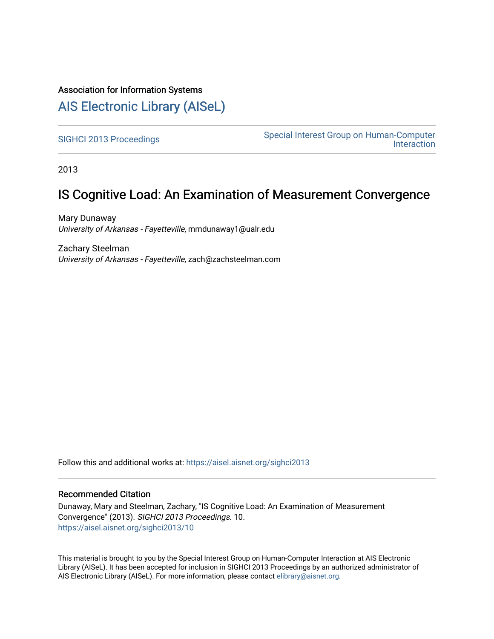### Association for Information Systems

## [AIS Electronic Library \(AISeL\)](https://aisel.aisnet.org/)

[SIGHCI 2013 Proceedings](https://aisel.aisnet.org/sighci2013)<br>
Special Interest Group on Human-Computer **Interaction** 

2013

## IS Cognitive Load: An Examination of Measurement Convergence

Mary Dunaway University of Arkansas - Fayetteville, mmdunaway1@ualr.edu

Zachary Steelman University of Arkansas - Fayetteville, zach@zachsteelman.com

Follow this and additional works at: [https://aisel.aisnet.org/sighci2013](https://aisel.aisnet.org/sighci2013?utm_source=aisel.aisnet.org%2Fsighci2013%2F10&utm_medium=PDF&utm_campaign=PDFCoverPages) 

#### Recommended Citation

Dunaway, Mary and Steelman, Zachary, "IS Cognitive Load: An Examination of Measurement Convergence" (2013). SIGHCI 2013 Proceedings. 10. [https://aisel.aisnet.org/sighci2013/10](https://aisel.aisnet.org/sighci2013/10?utm_source=aisel.aisnet.org%2Fsighci2013%2F10&utm_medium=PDF&utm_campaign=PDFCoverPages)

This material is brought to you by the Special Interest Group on Human-Computer Interaction at AIS Electronic Library (AISeL). It has been accepted for inclusion in SIGHCI 2013 Proceedings by an authorized administrator of AIS Electronic Library (AISeL). For more information, please contact [elibrary@aisnet.org](mailto:elibrary@aisnet.org%3E).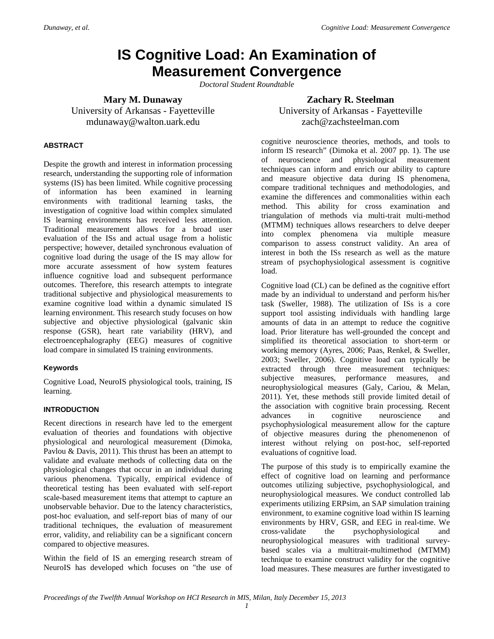# **IS Cognitive Load: An Examination of Measurement Convergence**

*Doctoral Student Roundtable*

**Mary M. Dunaway**

University of Arkansas - Fayetteville mdunaway@walton.uark.edu

#### **Zachary R. Steelman** University of Arkansas - Fayetteville zach@zachsteelman.com

#### **ABSTRACT**

Despite the growth and interest in information processing research, understanding the supporting role of information systems (IS) has been limited. While cognitive processing of information has been examined in learning environments with traditional learning tasks, the investigation of cognitive load within complex simulated IS learning environments has received less attention. Traditional measurement allows for a broad user evaluation of the ISs and actual usage from a holistic perspective; however, detailed synchronous evaluation of cognitive load during the usage of the IS may allow for more accurate assessment of how system features influence cognitive load and subsequent performance outcomes. Therefore, this research attempts to integrate traditional subjective and physiological measurements to examine cognitive load within a dynamic simulated IS learning environment. This research study focuses on how subjective and objective physiological (galvanic skin response (GSR), heart rate variability (HRV), and electroencephalography (EEG) measures of cognitive load compare in simulated IS training environments.

#### **Keywords**

Cognitive Load, NeuroIS physiological tools, training, IS learning.

#### **INTRODUCTION**

Recent directions in research have led to the emergent evaluation of theories and foundations with objective physiological and neurological measurement (Dimoka, Pavlou & Davis, 2011). This thrust has been an attempt to validate and evaluate methods of collecting data on the physiological changes that occur in an individual during various phenomena. Typically, empirical evidence of theoretical testing has been evaluated with self-report scale-based measurement items that attempt to capture an unobservable behavior. Due to the latency characteristics, post-hoc evaluation, and self-report bias of many of our traditional techniques, the evaluation of measurement error, validity, and reliability can be a significant concern compared to objective measures.

Within the field of IS an emerging research stream of NeuroIS has developed which focuses on "the use of

cognitive neuroscience theories, methods, and tools to inform IS research" (Dimoka et al. 2007 pp. 1). The use of neuroscience and physiological measurement techniques can inform and enrich our ability to capture and measure objective data during IS phenomena, compare traditional techniques and methodologies, and examine the differences and commonalities within each method. This ability for cross examination and triangulation of methods via multi-trait multi-method (MTMM) techniques allows researchers to delve deeper into complex phenomena via multiple measure comparison to assess construct validity. An area of interest in both the ISs research as well as the mature stream of psychophysiological assessment is cognitive load.

Cognitive load (CL) can be defined as the cognitive effort made by an individual to understand and perform his/her task (Sweller, 1988). The utilization of ISs is a core support tool assisting individuals with handling large amounts of data in an attempt to reduce the cognitive load. Prior literature has well-grounded the concept and simplified its theoretical association to short-term or working memory (Ayres, 2006; Paas, Renkel, & Sweller, 2003; Sweller, 2006). Cognitive load can typically be extracted through three measurement techniques: subjective measures, performance measures, and neurophysiological measures (Galy, Cariou, & Melan, 2011). Yet, these methods still provide limited detail of the association with cognitive brain processing. Recent advances in cognitive neuroscience and psychophysiological measurement allow for the capture of objective measures during the phenomenenon of interest without relying on post-hoc, self-reported evaluations of cognitive load.

The purpose of this study is to empirically examine the effect of cognitive load on learning and performance outcomes utilizing subjective, psychophysiological, and neurophysiological measures. We conduct controlled lab experiments utilizing ERPsim, an SAP simulation training environment, to examine cognitive load within IS learning environments by HRV, GSR, and EEG in real-time. We cross-validate the psychophysiological and neurophysiological measures with traditional surveybased scales via a multitrait-multimethod (MTMM) technique to examine construct validity for the cognitive load measures. These measures are further investigated to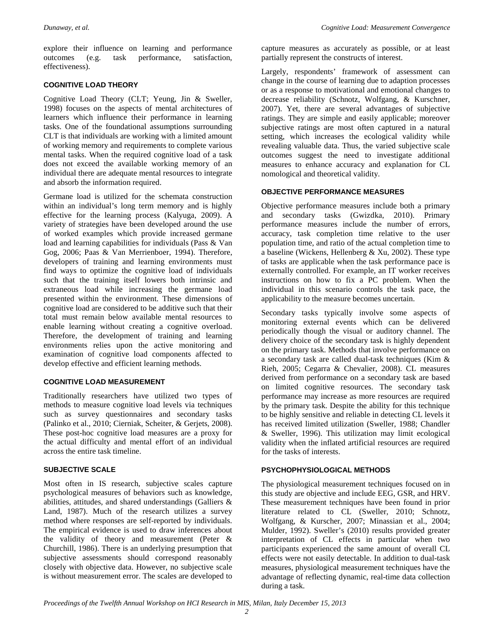explore their influence on learning and performance outcomes (e.g. task performance, satisfaction, effectiveness).

#### **COGNITIVE LOAD THEORY**

Cognitive Load Theory (CLT; Yeung, Jin & Sweller, 1998) focuses on the aspects of mental architectures of learners which influence their performance in learning tasks. One of the foundational assumptions surrounding CLT is that individuals are working with a limited amount of working memory and requirements to complete various mental tasks. When the required cognitive load of a task does not exceed the available working memory of an individual there are adequate mental resources to integrate and absorb the information required.

Germane load is utilized for the schemata construction within an individual's long term memory and is highly effective for the learning process (Kalyuga, 2009). A variety of strategies have been developed around the use of worked examples which provide increased germane load and learning capabilities for individuals (Pass & Van Gog, 2006; Paas & Van Merrienboer, 1994). Therefore, developers of training and learning environments must find ways to optimize the cognitive load of individuals such that the training itself lowers both intrinsic and extraneous load while increasing the germane load presented within the environment. These dimensions of cognitive load are considered to be additive such that their total must remain below available mental resources to enable learning without creating a cognitive overload. Therefore, the development of training and learning environments relies upon the active monitoring and examination of cognitive load components affected to develop effective and efficient learning methods.

#### **COGNITIVE LOAD MEASUREMENT**

Traditionally researchers have utilized two types of methods to measure cognitive load levels via techniques such as survey questionnaires and secondary tasks (Palinko et al., 2010; Cierniak, Scheiter, & Gerjets, 2008). These post-hoc cognitive load measures are a proxy for the actual difficulty and mental effort of an individual across the entire task timeline.

#### **SUBJECTIVE SCALE**

Most often in IS research, subjective scales capture psychological measures of behaviors such as knowledge, abilities, attitudes, and shared understandings (Galliers & Land, 1987). Much of the research utilizes a survey method where responses are self-reported by individuals. The empirical evidence is used to draw inferences about the validity of theory and measurement (Peter & Churchill, 1986). There is an underlying presumption that subjective assessments should correspond reasonably closely with objective data. However, no subjective scale is without measurement error. The scales are developed to

capture measures as accurately as possible, or at least partially represent the constructs of interest.

Largely, respondents' framework of assessment can change in the course of learning due to adaption processes or as a response to motivational and emotional changes to decrease reliability (Schnotz, Wolfgang, & Kurschner, 2007). Yet, there are several advantages of subjective ratings. They are simple and easily applicable; moreover subjective ratings are most often captured in a natural setting, which increases the ecological validity while revealing valuable data. Thus, the varied subjective scale outcomes suggest the need to investigate additional measures to enhance accuracy and explanation for CL nomological and theoretical validity.

#### **OBJECTIVE PERFORMANCE MEASURES**

Objective performance measures include both a primary and secondary tasks (Gwizdka, 2010). Primary performance measures include the number of errors, accuracy, task completion time relative to the user population time, and ratio of the actual completion time to a baseline (Wickens, Hellenberg & Xu, 2002). These type of tasks are applicable when the task performance pace is externally controlled. For example, an IT worker receives instructions on how to fix a PC problem. When the individual in this scenario controls the task pace, the applicability to the measure becomes uncertain.

Secondary tasks typically involve some aspects of monitoring external events which can be delivered periodically though the visual or auditory channel. The delivery choice of the secondary task is highly dependent on the primary task. Methods that involve performance on a secondary task are called dual-task techniques (Kim & Rieh, 2005; Cegarra & Chevalier, 2008). CL measures derived from performance on a secondary task are based on limited cognitive resources. The secondary task performance may increase as more resources are required by the primary task. Despite the ability for this technique to be highly sensitive and reliable in detecting CL levels it has received limited utilization (Sweller, 1988; Chandler & Sweller, 1996). This utilization may limit ecological validity when the inflated artificial resources are required for the tasks of interests.

#### **PSYCHOPHYSIOLOGICAL METHODS**

The physiological measurement techniques focused on in this study are objective and include EEG, GSR, and HRV. These measurement techniques have been found in prior literature related to CL (Sweller, 2010; Schnotz, Wolfgang, & Kurscher, 2007; Minassian et al., 2004; Mulder, 1992). Sweller's (2010) results provided greater interpretation of CL effects in particular when two participants experienced the same amount of overall CL effects were not easily detectable. In addition to dual-task measures, physiological measurement techniques have the advantage of reflecting dynamic, real-time data collection during a task.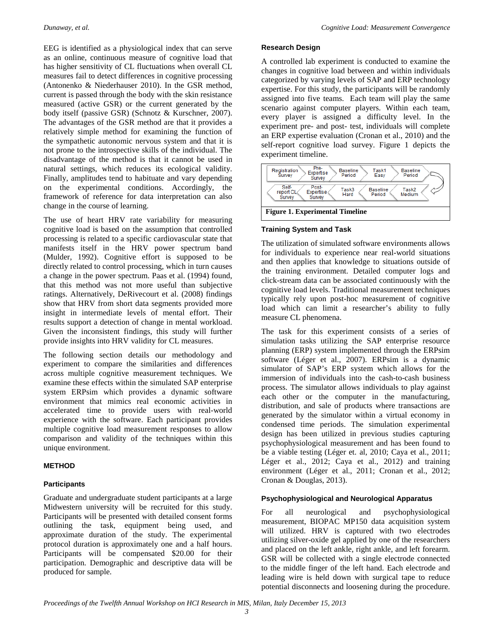EEG is identified as a physiological index that can serve as an online, continuous measure of cognitive load that has higher sensitivity of CL fluctuations when overall CL measures fail to detect differences in cognitive processing (Antonenko & Niederhauser 2010). In the GSR method, current is passed through the body with the skin resistance measured (active GSR) or the current generated by the body itself (passive GSR) (Schnotz & Kurschner, 2007). The advantages of the GSR method are that it provides a relatively simple method for examining the function of the sympathetic autonomic nervous system and that it is not prone to the introspective skills of the individual. The disadvantage of the method is that it cannot be used in natural settings, which reduces its ecological validity. Finally, amplitudes tend to habituate and vary depending on the experimental conditions. Accordingly, the framework of reference for data interpretation can also change in the course of learning.

The use of heart HRV rate variability for measuring cognitive load is based on the assumption that controlled processing is related to a specific cardiovascular state that manifests itself in the HRV power spectrum band (Mulder, 1992). Cognitive effort is supposed to be directly related to control processing, which in turn causes a change in the power spectrum. Paas et al. (1994) found, that this method was not more useful than subjective ratings. Alternatively, DeRivecourt et al. (2008) findings show that HRV from short data segments provided more insight in intermediate levels of mental effort. Their results support a detection of change in mental workload. Given the inconsistent findings, this study will further provide insights into HRV validity for CL measures.

The following section details our methodology and experiment to compare the similarities and differences across multiple cognitive measurement techniques. We examine these effects within the simulated SAP enterprise system ERPsim which provides a dynamic software environment that mimics real economic activities in accelerated time to provide users with real-world experience with the software. Each participant provides multiple cognitive load measurement responses to allow comparison and validity of the techniques within this unique environment.

#### **METHOD**

#### **Participants**

Graduate and undergraduate student participants at a large Midwestern university will be recruited for this study. Participants will be presented with detailed consent forms outlining the task, equipment being used, and approximate duration of the study. The experimental protocol duration is approximately one and a half hours. Participants will be compensated \$20.00 for their participation. Demographic and descriptive data will be produced for sample.

#### **Research Design**

A controlled lab experiment is conducted to examine the changes in cognitive load between and within individuals categorized by varying levels of SAP and ERP technology expertise. For this study, the participants will be randomly assigned into five teams. Each team will play the same scenario against computer players. Within each team, every player is assigned a difficulty level. In the experiment pre- and post- test, individuals will complete an ERP expertise evaluation (Cronan et al., 2010) and the self-report cognitive load survey. Figure 1 depicts the experiment timeline.



#### **Training System and Task**

The utilization of simulated software environments allows for individuals to experience near real-world situations and then applies that knowledge to situations outside of the training environment. Detailed computer logs and click-stream data can be associated continuously with the cognitive load levels. Traditional measurement techniques typically rely upon post-hoc measurement of cognitive load which can limit a researcher's ability to fully measure CL phenomena.

The task for this experiment consists of a series of simulation tasks utilizing the SAP enterprise resource planning (ERP) system implemented through the ERPsim software (Léger et al., 2007). ERPsim is a dynamic simulator of SAP's ERP system which allows for the immersion of individuals into the cash-to-cash business process. The simulator allows individuals to play against each other or the computer in the manufacturing, distribution, and sale of products where transactions are generated by the simulator within a virtual economy in condensed time periods. The simulation experimental design has been utilized in previous studies capturing psychophysiological measurement and has been found to be a viable testing (Léger et. al, 2010; Caya et al., 2011; Léger et al., 2012; Caya et al., 2012) and training environment (Léger et al., 2011; Cronan et al., 2012; Cronan & Douglas, 2013).

#### **Psychophysiological and Neurological Apparatus**

For all neurological and psychophysiological measurement, BIOPAC MP150 data acquisition system will utilized. HRV is captured with two electrodes utilizing silver-oxide gel applied by one of the researchers and placed on the left ankle, right ankle, and left forearm. GSR will be collected with a single electrode connected to the middle finger of the left hand. Each electrode and leading wire is held down with surgical tape to reduce potential disconnects and loosening during the procedure.

*Proceedings of the Twelfth Annual Workshop on HCI Research in MIS, Milan, Italy December 15, 2013*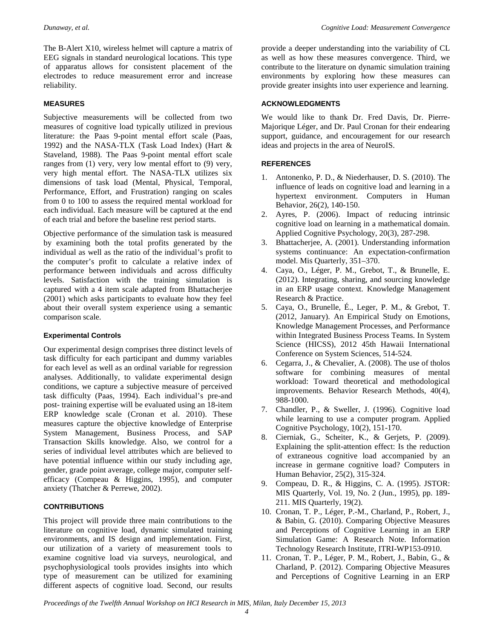The B-Alert X10, wireless helmet will capture a matrix of EEG signals in standard neurological locations. This type of apparatus allows for consistent placement of the electrodes to reduce measurement error and increase reliability.

#### **MEASURES**

Subjective measurements will be collected from two measures of cognitive load typically utilized in previous literature: the Paas 9-point mental effort scale (Paas, 1992) and the NASA-TLX (Task Load Index) (Hart & Staveland, 1988). The Paas 9-point mental effort scale ranges from (1) very, very low mental effort to (9) very, very high mental effort. The NASA-TLX utilizes six dimensions of task load (Mental, Physical, Temporal, Performance, Effort, and Frustration) ranging on scales from 0 to 100 to assess the required mental workload for each individual. Each measure will be captured at the end of each trial and before the baseline rest period starts.

Objective performance of the simulation task is measured by examining both the total profits generated by the individual as well as the ratio of the individual's profit to the computer's profit to calculate a relative index of performance between individuals and across difficulty levels. Satisfaction with the training simulation is captured with a 4 item scale adapted from Bhattacherjee (2001) which asks participants to evaluate how they feel about their overall system experience using a semantic comparison scale.

#### **Experimental Controls**

Our experimental design comprises three distinct levels of task difficulty for each participant and dummy variables for each level as well as an ordinal variable for regression analyses. Additionally, to validate experimental design conditions, we capture a subjective measure of perceived task difficulty (Paas, 1994). Each individual's pre-and post- training expertise will be evaluated using an 18-item ERP knowledge scale (Cronan et al. 2010). These measures capture the objective knowledge of Enterprise System Management, Business Process, and SAP Transaction Skills knowledge. Also, we control for a series of individual level attributes which are believed to have potential influence within our study including age, gender, grade point average, college major, computer selfefficacy (Compeau & Higgins, 1995), and computer anxiety (Thatcher & Perrewe, 2002).

#### **CONTRIBUTIONS**

This project will provide three main contributions to the literature on cognitive load, dynamic simulated training environments, and IS design and implementation. First, our utilization of a variety of measurement tools to examine cognitive load via surveys, neurological, and psychophysiological tools provides insights into which type of measurement can be utilized for examining different aspects of cognitive load. Second, our results

provide a deeper understanding into the variability of CL as well as how these measures convergence. Third, we contribute to the literature on dynamic simulation training environments by exploring how these measures can provide greater insights into user experience and learning.

#### **ACKNOWLEDGMENTS**

We would like to thank Dr. Fred Davis, Dr. Pierre-Majorique Léger, and Dr. Paul Cronan for their endearing support, guidance, and encouragement for our research ideas and projects in the area of NeuroIS.

#### **REFERENCES**

- 1. Antonenko, P. D., & Niederhauser, D. S. (2010). The influence of leads on cognitive load and learning in a hypertext environment. Computers in Human Behavior, 26(2), 140-150.
- 2. Ayres, P. (2006). Impact of reducing intrinsic cognitive load on learning in a mathematical domain. Applied Cognitive Psychology, 20(3), 287-298.
- 3. Bhattacherjee, A. (2001). Understanding information systems continuance: An expectation-confirmation model. Mis Quarterly, 351–370.
- 4. Caya, O., Léger, P. M., Grebot, T., & Brunelle, E. (2012). Integrating, sharing, and sourcing knowledge in an ERP usage context. Knowledge Management Research & Practice.
- 5. Caya, O., Brunelle, É., Leger, P. M., & Grebot, T. (2012, January). An Empirical Study on Emotions, Knowledge Management Processes, and Performance within Integrated Business Process Teams. In System Science (HICSS), 2012 45th Hawaii International Conference on System Sciences, 514-524.
- 6. Cegarra, J., & Chevalier, A. (2008). The use of tholos software for combining measures of mental workload: Toward theoretical and methodological improvements. Behavior Research Methods, 40(4), 988-1000.
- 7. Chandler, P., & Sweller, J. (1996). Cognitive load while learning to use a computer program. Applied Cognitive Psychology, 10(2), 151-170.
- 8. Cierniak, G., Scheiter, K., & Gerjets, P. (2009). Explaining the split-attention effect: Is the reduction of extraneous cognitive load accompanied by an increase in germane cognitive load? Computers in Human Behavior, 25(2), 315-324.
- 9. Compeau, D. R., & Higgins, C. A. (1995). JSTOR: MIS Quarterly, Vol. 19, No. 2 (Jun., 1995), pp. 189- 211. MIS Quarterly, 19(2).
- 10. Cronan, T. P., Léger, P.-M., Charland, P., Robert, J., & Babin, G. (2010). Comparing Objective Measures and Perceptions of Cognitive Learning in an ERP Simulation Game: A Research Note. Information Technology Research Institute, ITRI-WP153-0910.
- 11. Cronan, T. P., Léger, P. M., Robert, J., Babin, G., & Charland, P. (2012). Comparing Objective Measures and Perceptions of Cognitive Learning in an ERP

*Proceedings of the Twelfth Annual Workshop on HCI Research in MIS, Milan, Italy December 15, 2013*